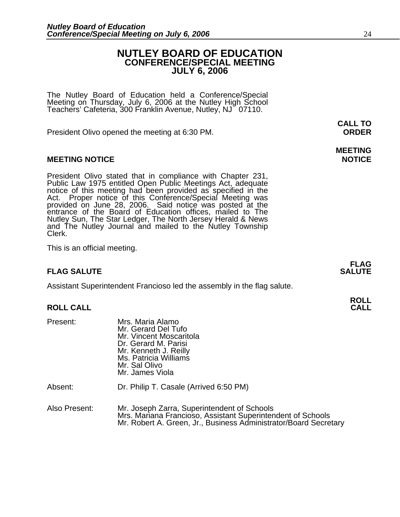# **NUTLEY BOARD OF EDUCATION CONFERENCE/SPECIAL MEETING JULY 6, 2006**

The Nutley Board of Education held a Conference/Special Meeting on Thursday, July 6, 2006 at the Nutley High School Teachers' Cafeteria, 300 Franklin Avenue, Nutley, NJ 07110.

President Olivo opened the meeting at 6:30 PM. **ORDER**

# **MEETING NOTICE NOTICE REPORTS AND ALCOHOL**

President Olivo stated that in compliance with Chapter 231,<br>Public Law 1975 entitled Open Public Meetings Act, adequate<br>notice of this meeting had been provided as specified in the<br>Act. Proper notice of this Conference/Spe Nutley Sun, The Star Ledger, The North Jersey Herald & News and The Nutley Journal and mailed to the Nutley Township Clerk.

This is an official meeting.

### **FLAG FLAG SALUTE SALUTE SALUTE**

Assistant Superintendent Francioso led the assembly in the flag salute.

| <b>RULL CALL</b> |
|------------------|
|                  |

| Present:      | Mrs. Maria Alamo<br>Mr. Gerard Del Tufo<br>Mr. Vincent Moscaritola<br>Dr. Gerard M. Parisi<br>Mr. Kenneth J. Reilly<br>Ms. Patricia Williams<br>Mr. Sal Olivo<br>Mr. James Viola |
|---------------|----------------------------------------------------------------------------------------------------------------------------------------------------------------------------------|
| Absent:       | Dr. Philip T. Casale (Arrived 6:50 PM)                                                                                                                                           |
| Also Present: | Mr. Joseph Zarra, Superintendent of Schools<br>Mrs. Mariana Francioso, Assistant Superintendent of Schools<br>Mr. Robert A. Green, Jr., Business Administrator/Board Secretary   |

**CALL TO** 

# **MEETING**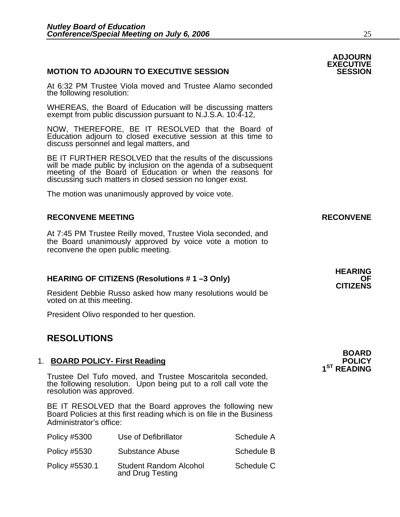# **MOTION TO ADJOURN TO EXECUTIVE SESSION**

At 6:32 PM Trustee Viola moved and Trustee Alamo seconded the following resolution:

WHEREAS, the Board of Education will be discussing matters exempt from public discussion pursuant to N.J.S.A. 10:4-12,

NOW, THEREFORE, BE IT RESOLVED that the Board of Education adjourn to closed executive session at this time to discuss personnel and legal matters, and

BE IT FURTHER RESOLVED that the results of the discussions will be made public by inclusion on the agenda of a subsequent meeting of the Board of Education or when the reasons for discussing such matters in closed session no longer exist.

The motion was unanimously approved by voice vote.

# **RECONVENE MEETING RECONVENE**

At 7:45 PM Trustee Reilly moved, Trustee Viola seconded, and the Board unanimously approved by voice vote a motion to reconvene the open public meeting.

# **HEARING OF CITIZENS (Resolutions # 1 –3 Only) OF CITIZENS**

Resident Debbie Russo asked how many resolutions would be voted on at this meeting.

President Olivo responded to her question.

## 1. **BOARD POLICY- First Reading POLICY POLICY**

Trustee Del Tufo moved, and Trustee Moscaritola seconded, the following resolution. Upon being put to a roll call vote the resolution was approved.

BE IT RESOLVED that the Board approves the following new Board Policies at this first reading which is on file in the Business Administrator's office:

| <b>Policy #5300</b> | Use of Defibrillator                              | Schedule A |
|---------------------|---------------------------------------------------|------------|
| <b>Policy #5530</b> | Substance Abuse                                   | Schedule B |
| Policy #5530.1      | <b>Student Random Alcohol</b><br>and Drug Testing | Schedule C |

**ADJOURN EXECUTIVE** 

# **RESOLUTIONS**<br> **RESOLUTIONS**

# **1ST READING**

# **HEARING**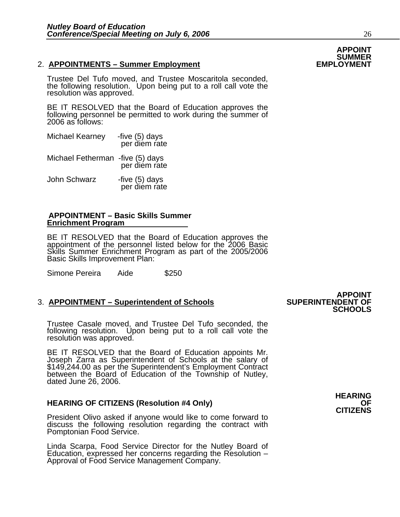# 2. **APPOINTMENTS – Summer Employment**

Trustee Del Tufo moved, and Trustee Moscaritola seconded, the following resolution. Upon being put to a roll call vote the resolution was approved.

BE IT RESOLVED that the Board of Education approves the following personnel be permitted to work during the summer of 2006 as follows:

| <b>Michael Kearney</b> | -five (5) days<br>per diem rate |
|------------------------|---------------------------------|
|                        |                                 |

Michael Fetherman -five (5) days per diem rate

John Schwarz -five (5) days<br>per diem rate

### **APPOINTMENT – Basic Skills Summer Enrichment Program**

BE IT RESOLVED that the Board of Education approves the appointment of the personnel listed below for the 2006 Basic Skills Summer Enrichment Program as part of the 2005/2006<br>Basic Skills Improvement Plan:

Simone Pereira Aide \$250

# **3. APPOINTMENT – Superintendent of Schools**

Trustee Casale moved, and Trustee Del Tufo seconded, the following resolution. Upon being put to a roll call vote the resolution was approved.

BE IT RESOLVED that the Board of Education appoints Mr.<br>Joseph Zarra as Superintendent of Schools at the salary of<br>\$149,244.00 as per the Superintendent's Employment Contract<br>between the Board of Education of the Township dated June 26, 2006.

**HEARING OF CITIZENS (Resolution #4 Only) OF CITIZENS**<br>**CITIZENS** President Olivo asked if anyone would like to come forward to discuss the following resolution regarding the contract with Pomptonian Food Service.

Linda Scarpa, Food Service Director for the Nutley Board of Education, expressed her concerns regarding the Resolution – Approval of Food Service Management Company.

**APPOINT**<br>SUPERINTENDENT OF **SCHOOLS**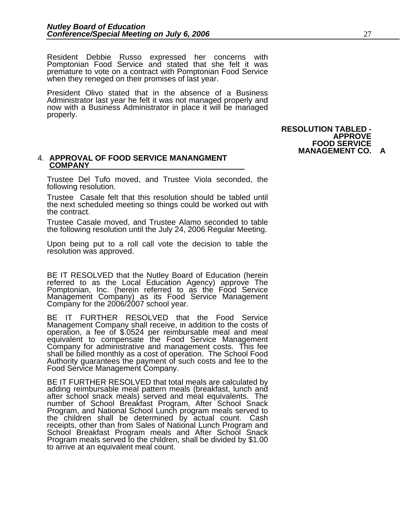Resident Debbie Russo expressed her concerns with Pomptonian Food Service and stated that she felt it was premature to vote on a contract with Pomptonian Food Service when they reneged on their promises of last year.

President Olivo stated that in the absence of a Business<br>Administrator last year he felt it was not managed properly and now with a Business Administrator in place it will be managed properly.

> **RESOLUTION TABLED - APPROVE FOOD SERVICE MANAGEMENT CO.**

### 4. **APPROVAL OF FOOD SERVICE MANANGMENT COMPANY**

Trustee Del Tufo moved, and Trustee Viola seconded, the following resolution.

Trustee Casale felt that this resolution should be tabled until the next scheduled meeting so things could be worked out with the contract.

Trustee Casale moved, and Trustee Alamo seconded to table the following resolution until the July 24, 2006 Regular Meeting.

Upon being put to a roll call vote the decision to table the resolution was approved.

BE IT RESOLVED that the Nutley Board of Education (herein referred to as the Local Education Agency) approve The Pomptonian, Inc. (herein referred to as the Food Service Management Company) as its Food Service Management Company for the 2006/2007 school year.

BE IT FURTHER RESOLVED that the Food Service Management Company shall receive, in addition to the costs of operation, a fee of \$.0524 per reimbursable meal and meal equivalent to compensate the Food Service Management shall be billed monthly as a cost of operation. The School Food Authority guarantees the payment of such costs and fee to the Food Service Management Company.

BE IT FURTHER RESOLVED that total meals are calculated by adding reimbursable meal pattern meals (breakfast, lunch and after school snack meals) served and meal equivalents. The number of School Breakfast Program, After School Snack<br>Program, and National School Lunch program meals served to<br>the children shall be determined by actual count. Cash<br>receipts, other than from Sales of National Lunch Pro Program meals served to the children, shall be divided by \$1.00 to arrive at an equivalent meal count.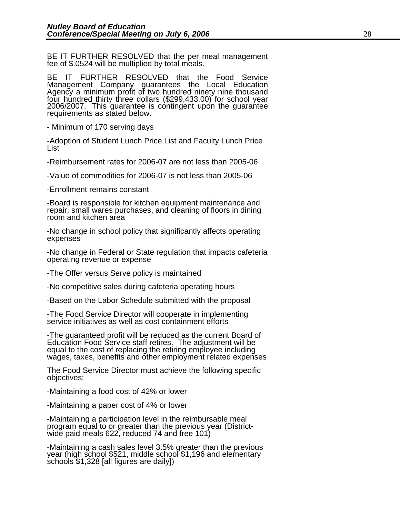BE IT FURTHER RESOLVED that the per meal management fee of \$.0524 will be multiplied by total meals.

BE IT FURTHER RESOLVED that the Food Service Management Company guarantees the Local Education Agency a minimum profit of two hundred ninety nine thousand<br>four hundred thirty three dollars (\$299,433.00) for school year<br>2006/2007. This guarantee is contingent upon the guarantee<br>requirements as stated below.

- Minimum of 170 serving days

-Adoption of Student Lunch Price List and Faculty Lunch Price<br>List

-Reimbursement rates for 2006-07 are not less than 2005-06

-Value of commodities for 2006-07 is not less than 2005-06

-Enrollment remains constant

-Board is responsible for kitchen equipment maintenance and repair, small wares purchases, and cleaning of floors in dining room and kitchen area

-No change in school policy that significantly affects operating expenses

-No change in Federal or State regulation that impacts cafeteria operating revenue or expense

-The Offer versus Serve policy is maintained

-No competitive sales during cafeteria operating hours

-Based on the Labor Schedule submitted with the proposal

-The Food Service Director will cooperate in implementing service initiatives as well as cost containment efforts

-The guaranteed profit will be reduced as the current Board of Education Food Service staff retires. The adjustment will be equal to the cost of replacing the retiring employee including wages, taxes, benefits and other employment related expenses

The Food Service Director must achieve the following specific objectives:

-Maintaining a food cost of 42% or lower

-Maintaining a paper cost of 4% or lower

-Maintaining a participation level in the reimbursable meal program equal to or greater than the previous year (District- wide paid meals 622, reduced 74 and free 101)

-Maintaining a cash sales level 3.5% greater than the previous year (high school \$521, middle school \$1,196 and elementary schools \$1,328 [all figures are daily])